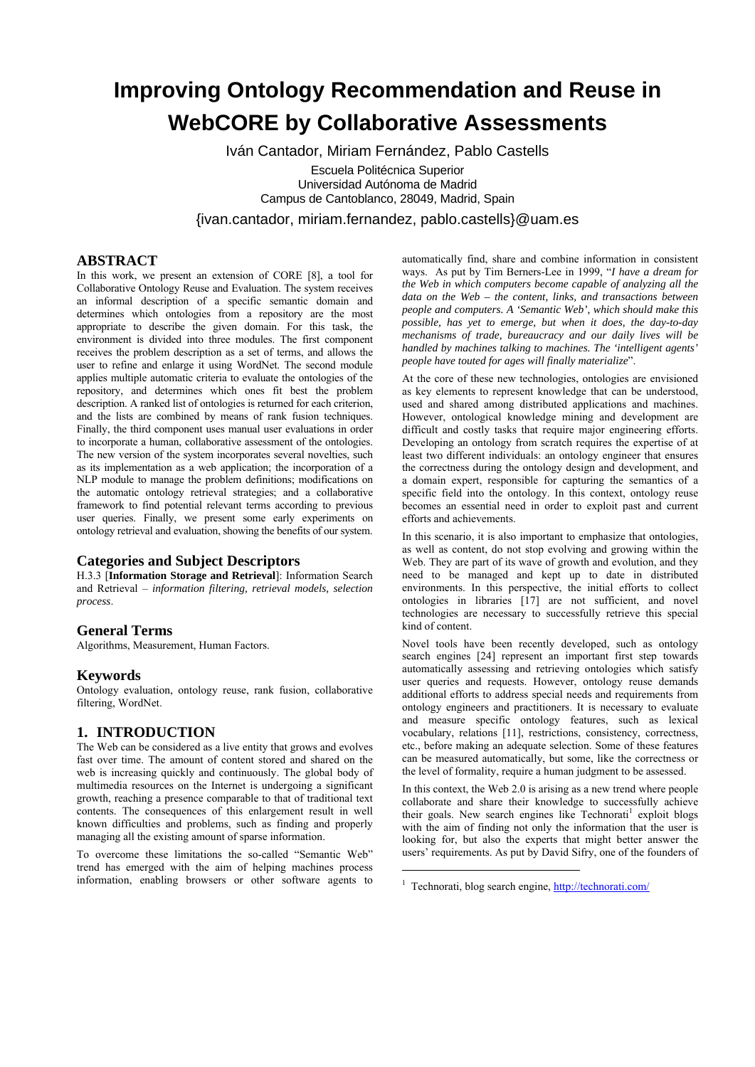# **Improving Ontology Recommendation and Reuse in WebCORE by Collaborative Assessments**

Iván Cantador, Miriam Fernández, Pablo Castells Escuela Politécnica Superior Universidad Autónoma de Madrid Campus de Cantoblanco, 28049, Madrid, Spain

{ivan.cantador, miriam.fernandez, pablo.castells}@uam.es

# **ABSTRACT**

In this work, we present an extension of CORE [8], a tool for Collaborative Ontology Reuse and Evaluation. The system receives an informal description of a specific semantic domain and determines which ontologies from a repository are the most appropriate to describe the given domain. For this task, the environment is divided into three modules. The first component receives the problem description as a set of terms, and allows the user to refine and enlarge it using WordNet. The second module applies multiple automatic criteria to evaluate the ontologies of the repository, and determines which ones fit best the problem description. A ranked list of ontologies is returned for each criterion, and the lists are combined by means of rank fusion techniques. Finally, the third component uses manual user evaluations in order to incorporate a human, collaborative assessment of the ontologies. The new version of the system incorporates several novelties, such as its implementation as a web application; the incorporation of a NLP module to manage the problem definitions; modifications on the automatic ontology retrieval strategies; and a collaborative framework to find potential relevant terms according to previous user queries. Finally, we present some early experiments on ontology retrieval and evaluation, showing the benefits of our system.

# **Categories and Subject Descriptors**

H.3.3 [**Information Storage and Retrieval**]: Information Search and Retrieval – *information filtering, retrieval models, selection process*.

# **General Terms**

Algorithms, Measurement, Human Factors.

# **Keywords**

Ontology evaluation, ontology reuse, rank fusion, collaborative filtering, WordNet.

# **1. INTRODUCTION**

The Web can be considered as a live entity that grows and evolves fast over time. The amount of content stored and shared on the web is increasing quickly and continuously. The global body of multimedia resources on the Internet is undergoing a significant growth, reaching a presence comparable to that of traditional text contents. The consequences of this enlargement result in well known difficulties and problems, such as finding and properly managing all the existing amount of sparse information.

To overcome these limitations the so-called "Semantic Web" trend has emerged with the aim of helping machines process information, enabling browsers or other software agents to

automatically find, share and combine information in consistent ways. As put by Tim Berners-Lee in 1999, "*I have a dream for the Web in which computers become capable of analyzing all the data on the Web – the content, links, and transactions between people and computers. A 'Semantic Web', which should make this possible, has yet to emerge, but when it does, the day-to-day mechanisms of trade, bureaucracy and our daily lives will be handled by machines talking to machines. The 'intelligent agents' people have touted for ages will finally materialize*".

At the core of these new technologies, ontologies are envisioned as key elements to represent knowledge that can be understood, used and shared among distributed applications and machines. However, ontological knowledge mining and development are difficult and costly tasks that require major engineering efforts. Developing an ontology from scratch requires the expertise of at least two different individuals: an ontology engineer that ensures the correctness during the ontology design and development, and a domain expert, responsible for capturing the semantics of a specific field into the ontology. In this context, ontology reuse becomes an essential need in order to exploit past and current efforts and achievements.

In this scenario, it is also important to emphasize that ontologies, as well as content, do not stop evolving and growing within the Web. They are part of its wave of growth and evolution, and they need to be managed and kept up to date in distributed environments. In this perspective, the initial efforts to collect ontologies in libraries [17] are not sufficient, and novel technologies are necessary to successfully retrieve this special kind of content.

Novel tools have been recently developed, such as ontology search engines [24] represent an important first step towards automatically assessing and retrieving ontologies which satisfy user queries and requests. However, ontology reuse demands additional efforts to address special needs and requirements from ontology engineers and practitioners. It is necessary to evaluate and measure specific ontology features, such as lexical vocabulary, relations [11], restrictions, consistency, correctness, etc., before making an adequate selection. Some of these features can be measured automatically, but some, like the correctness or the level of formality, require a human judgment to be assessed.

In this context, the Web 2.0 is arising as a new trend where people collaborate and share their knowledge to successfully achieve their goals. New search engines like Technorati<sup>1</sup> exploit blogs with the aim of finding not only the information that the user is looking for, but also the experts that might better answer the users' requirements. As put by David Sifry, one of the founders of

<u>.</u>

<sup>&</sup>lt;sup>1</sup> Technorati, blog search engine, http://technorati.com/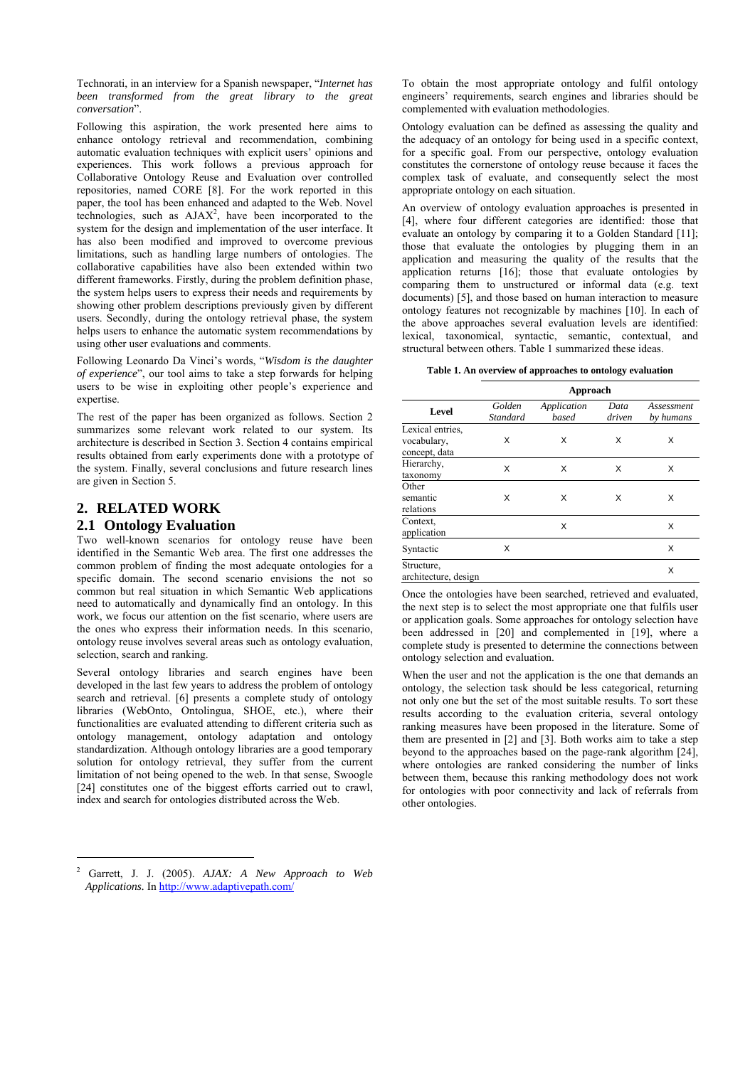Technorati, in an interview for a Spanish newspaper, "*Internet has been transformed from the great library to the great conversation*".

Following this aspiration, the work presented here aims to enhance ontology retrieval and recommendation, combining automatic evaluation techniques with explicit users' opinions and experiences. This work follows a previous approach for Collaborative Ontology Reuse and Evaluation over controlled repositories, named CORE [8]. For the work reported in this paper, the tool has been enhanced and adapted to the Web. Novel technologies, such as  $A J A X<sup>2</sup>$ , have been incorporated to the system for the design and implementation of the user interface. It has also been modified and improved to overcome previous limitations, such as handling large numbers of ontologies. The collaborative capabilities have also been extended within two different frameworks. Firstly, during the problem definition phase, the system helps users to express their needs and requirements by showing other problem descriptions previously given by different users. Secondly, during the ontology retrieval phase, the system helps users to enhance the automatic system recommendations by using other user evaluations and comments.

Following Leonardo Da Vinci's words, "*Wisdom is the daughter of experience*", our tool aims to take a step forwards for helping users to be wise in exploiting other people's experience and expertise.

The rest of the paper has been organized as follows. Section 2 summarizes some relevant work related to our system. Its architecture is described in Section 3. Section 4 contains empirical results obtained from early experiments done with a prototype of the system. Finally, several conclusions and future research lines are given in Section 5.

# **2. RELATED WORK**

 $\overline{a}$ 

## **2.1 Ontology Evaluation**

Two well-known scenarios for ontology reuse have been identified in the Semantic Web area. The first one addresses the common problem of finding the most adequate ontologies for a specific domain. The second scenario envisions the not so common but real situation in which Semantic Web applications need to automatically and dynamically find an ontology. In this work, we focus our attention on the fist scenario, where users are the ones who express their information needs. In this scenario, ontology reuse involves several areas such as ontology evaluation, selection, search and ranking.

Several ontology libraries and search engines have been developed in the last few years to address the problem of ontology search and retrieval. [6] presents a complete study of ontology libraries (WebOnto, Ontolingua, SHOE, etc.), where their functionalities are evaluated attending to different criteria such as ontology management, ontology adaptation and ontology standardization. Although ontology libraries are a good temporary solution for ontology retrieval, they suffer from the current limitation of not being opened to the web. In that sense, Swoogle [24] constitutes one of the biggest efforts carried out to crawl, index and search for ontologies distributed across the Web.

2 Garrett, J. J. (2005). *AJAX: A New Approach to Web Applications.* In http://www.adaptivepath.com/

To obtain the most appropriate ontology and fulfil ontology engineers' requirements, search engines and libraries should be complemented with evaluation methodologies.

Ontology evaluation can be defined as assessing the quality and the adequacy of an ontology for being used in a specific context, for a specific goal. From our perspective, ontology evaluation constitutes the cornerstone of ontology reuse because it faces the complex task of evaluate, and consequently select the most appropriate ontology on each situation.

An overview of ontology evaluation approaches is presented in [4], where four different categories are identified: those that evaluate an ontology by comparing it to a Golden Standard [11]; those that evaluate the ontologies by plugging them in an application and measuring the quality of the results that the application returns [16]; those that evaluate ontologies by comparing them to unstructured or informal data (e.g. text documents) [5], and those based on human interaction to measure ontology features not recognizable by machines [10]. In each of the above approaches several evaluation levels are identified: lexical, taxonomical, syntactic, semantic, contextual, and structural between others. Table 1 summarized these ideas.

#### **Table 1. An overview of approaches to ontology evaluation**

|                                                  |                           | Approach             |                |                         |
|--------------------------------------------------|---------------------------|----------------------|----------------|-------------------------|
| Level                                            | Golden<br><b>Standard</b> | Application<br>based | Data<br>driven | Assessment<br>by humans |
| Lexical entries,<br>vocabulary,<br>concept, data | X                         | X                    | X              | x                       |
| Hierarchy,<br>taxonomy                           | X                         | X                    | X              | X                       |
| Other<br>semantic<br>relations                   | X                         | X                    | X              | x                       |
| Context.<br>application                          |                           | X                    |                | X                       |
| Syntactic                                        | X                         |                      |                | X                       |
| Structure,<br>architecture, design               |                           |                      |                | X                       |

Once the ontologies have been searched, retrieved and evaluated, the next step is to select the most appropriate one that fulfils user or application goals. Some approaches for ontology selection have been addressed in [20] and complemented in [19], where a complete study is presented to determine the connections between ontology selection and evaluation.

When the user and not the application is the one that demands an ontology, the selection task should be less categorical, returning not only one but the set of the most suitable results. To sort these results according to the evaluation criteria, several ontology ranking measures have been proposed in the literature. Some of them are presented in [2] and [3]. Both works aim to take a step beyond to the approaches based on the page-rank algorithm [24], where ontologies are ranked considering the number of links between them, because this ranking methodology does not work for ontologies with poor connectivity and lack of referrals from other ontologies.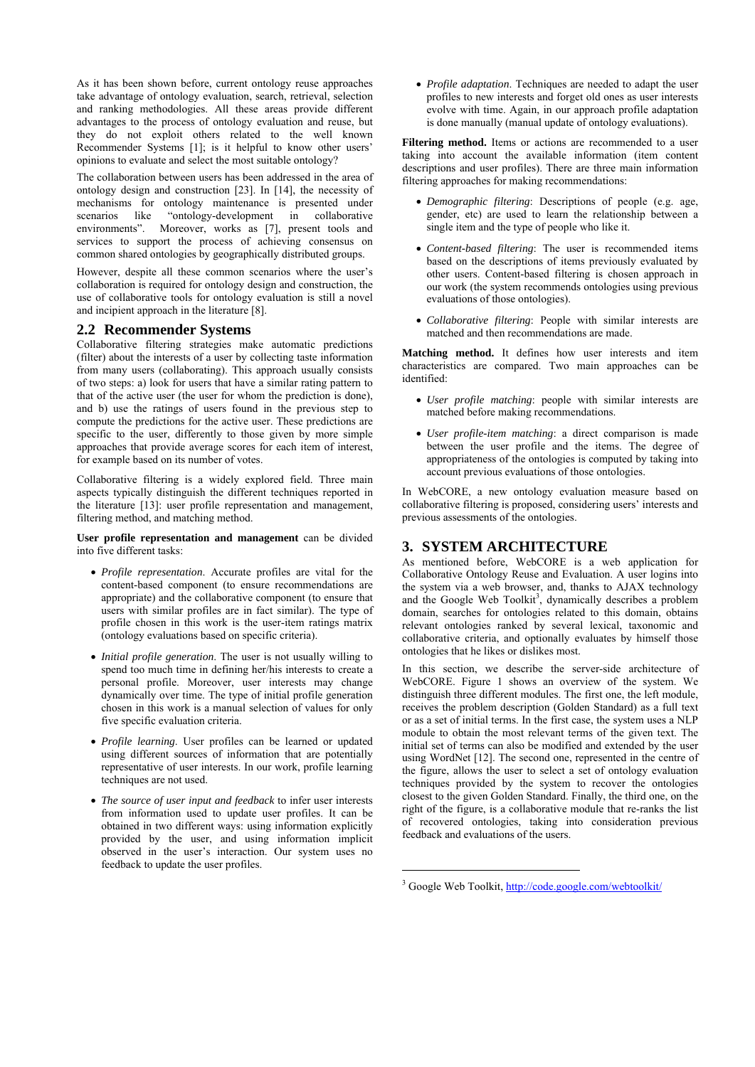As it has been shown before, current ontology reuse approaches take advantage of ontology evaluation, search, retrieval, selection and ranking methodologies. All these areas provide different advantages to the process of ontology evaluation and reuse, but they do not exploit others related to the well known Recommender Systems [1]; is it helpful to know other users' opinions to evaluate and select the most suitable ontology?

The collaboration between users has been addressed in the area of ontology design and construction [23]. In [14], the necessity of mechanisms for ontology maintenance is presented under scenarios like "ontology-development in collaborative environments". Moreover, works as [7], present tools and services to support the process of achieving consensus on common shared ontologies by geographically distributed groups.

However, despite all these common scenarios where the user's collaboration is required for ontology design and construction, the use of collaborative tools for ontology evaluation is still a novel and incipient approach in the literature [8].

# **2.2 Recommender Systems**

Collaborative filtering strategies make automatic predictions (filter) about the interests of a user by collecting taste information from many users (collaborating). This approach usually consists of two steps: a) look for users that have a similar rating pattern to that of the active user (the user for whom the prediction is done), and b) use the ratings of users found in the previous step to compute the predictions for the active user. These predictions are specific to the user, differently to those given by more simple approaches that provide average scores for each item of interest, for example based on its number of votes.

Collaborative filtering is a widely explored field. Three main aspects typically distinguish the different techniques reported in the literature [13]: user profile representation and management, filtering method, and matching method.

#### **User profile representation and management** can be divided into five different tasks:

- *Profile representation*. Accurate profiles are vital for the content-based component (to ensure recommendations are appropriate) and the collaborative component (to ensure that users with similar profiles are in fact similar). The type of profile chosen in this work is the user-item ratings matrix (ontology evaluations based on specific criteria).
- *Initial profile generation*. The user is not usually willing to spend too much time in defining her/his interests to create a personal profile. Moreover, user interests may change dynamically over time. The type of initial profile generation chosen in this work is a manual selection of values for only five specific evaluation criteria.
- *Profile learning*. User profiles can be learned or updated using different sources of information that are potentially representative of user interests. In our work, profile learning techniques are not used.
- *The source of user input and feedback* to infer user interests from information used to update user profiles. It can be obtained in two different ways: using information explicitly provided by the user, and using information implicit observed in the user's interaction. Our system uses no feedback to update the user profiles.

• *Profile adaptation*. Techniques are needed to adapt the user profiles to new interests and forget old ones as user interests evolve with time. Again, in our approach profile adaptation is done manually (manual update of ontology evaluations).

Filtering method. Items or actions are recommended to a user taking into account the available information (item content descriptions and user profiles). There are three main information filtering approaches for making recommendations:

- *Demographic filtering*: Descriptions of people (e.g. age, gender, etc) are used to learn the relationship between a single item and the type of people who like it.
- *Content-based filtering*: The user is recommended items based on the descriptions of items previously evaluated by other users. Content-based filtering is chosen approach in our work (the system recommends ontologies using previous evaluations of those ontologies).
- *Collaborative filtering*: People with similar interests are matched and then recommendations are made.

**Matching method.** It defines how user interests and item characteristics are compared. Two main approaches can be identified:

- *User profile matching*: people with similar interests are matched before making recommendations.
- *User profile-item matching*: a direct comparison is made between the user profile and the items. The degree of appropriateness of the ontologies is computed by taking into account previous evaluations of those ontologies.

In WebCORE, a new ontology evaluation measure based on collaborative filtering is proposed, considering users' interests and previous assessments of the ontologies.

# **3. SYSTEM ARCHITECTURE**

As mentioned before, WebCORE is a web application for Collaborative Ontology Reuse and Evaluation. A user logins into the system via a web browser, and, thanks to AJAX technology and the Google Web Toolkit<sup>3</sup>, dynamically describes a problem domain, searches for ontologies related to this domain, obtains relevant ontologies ranked by several lexical, taxonomic and collaborative criteria, and optionally evaluates by himself those ontologies that he likes or dislikes most.

In this section, we describe the server-side architecture of WebCORE. Figure 1 shows an overview of the system. We distinguish three different modules. The first one, the left module, receives the problem description (Golden Standard) as a full text or as a set of initial terms. In the first case, the system uses a NLP module to obtain the most relevant terms of the given text. The initial set of terms can also be modified and extended by the user using WordNet [12]. The second one, represented in the centre of the figure, allows the user to select a set of ontology evaluation techniques provided by the system to recover the ontologies closest to the given Golden Standard. Finally, the third one, on the right of the figure, is a collaborative module that re-ranks the list of recovered ontologies, taking into consideration previous feedback and evaluations of the users.

<u>.</u>

<sup>&</sup>lt;sup>3</sup> Google Web Toolkit, http://code.google.com/webtoolkit/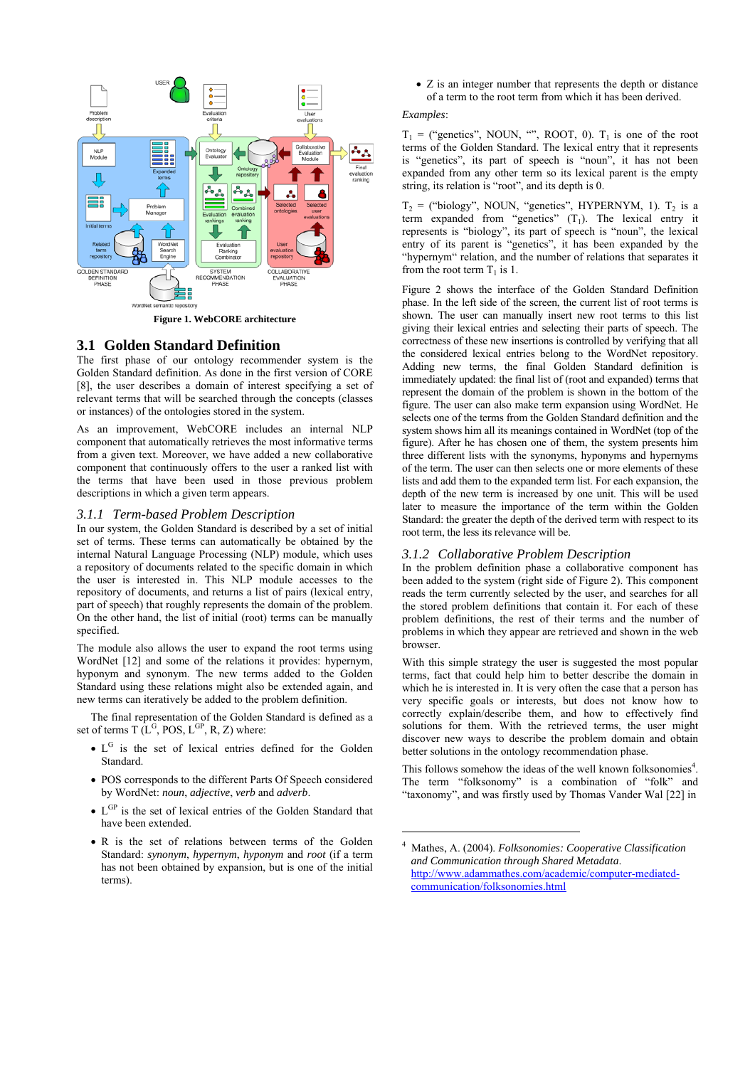

**Figure 1. WebCORE architecture** 

# **3.1 Golden Standard Definition**

The first phase of our ontology recommender system is the Golden Standard definition. As done in the first version of CORE [8], the user describes a domain of interest specifying a set of relevant terms that will be searched through the concepts (classes or instances) of the ontologies stored in the system.

As an improvement, WebCORE includes an internal NLP component that automatically retrieves the most informative terms from a given text. Moreover, we have added a new collaborative component that continuously offers to the user a ranked list with the terms that have been used in those previous problem descriptions in which a given term appears.

#### *3.1.1 Term-based Problem Description*

In our system, the Golden Standard is described by a set of initial set of terms. These terms can automatically be obtained by the internal Natural Language Processing (NLP) module, which uses a repository of documents related to the specific domain in which the user is interested in. This NLP module accesses to the repository of documents, and returns a list of pairs (lexical entry, part of speech) that roughly represents the domain of the problem. On the other hand, the list of initial (root) terms can be manually specified.

The module also allows the user to expand the root terms using WordNet [12] and some of the relations it provides: hypernym, hyponym and synonym. The new terms added to the Golden Standard using these relations might also be extended again, and new terms can iteratively be added to the problem definition.

The final representation of the Golden Standard is defined as a set of terms  $T(L^G, POS, L^{GP}, R, Z)$  where:

- $L<sup>G</sup>$  is the set of lexical entries defined for the Golden Standard.
- POS corresponds to the different Parts Of Speech considered by WordNet: *noun*, *adjective*, *verb* and *adverb*.
- L<sup>GP</sup> is the set of lexical entries of the Golden Standard that have been extended.
- R is the set of relations between terms of the Golden Standard: *synonym*, *hypernym*, *hyponym* and *root* (if a term has not been obtained by expansion, but is one of the initial terms).

• Z is an integer number that represents the depth or distance of a term to the root term from which it has been derived.

#### *Examples*:

 $T_1$  = ("genetics", NOUN, "", ROOT, 0).  $T_1$  is one of the root terms of the Golden Standard. The lexical entry that it represents is "genetics", its part of speech is "noun", it has not been expanded from any other term so its lexical parent is the empty string, its relation is "root", and its depth is 0.

 $T_2$  = ("biology", NOUN, "genetics", HYPERNYM, 1).  $T_2$  is a term expanded from "genetics"  $(T_1)$ . The lexical entry it represents is "biology", its part of speech is "noun", the lexical entry of its parent is "genetics", it has been expanded by the "hypernym" relation, and the number of relations that separates it from the root term  $T_1$  is 1.

Figure 2 shows the interface of the Golden Standard Definition phase. In the left side of the screen, the current list of root terms is shown. The user can manually insert new root terms to this list giving their lexical entries and selecting their parts of speech. The correctness of these new insertions is controlled by verifying that all the considered lexical entries belong to the WordNet repository. Adding new terms, the final Golden Standard definition is immediately updated: the final list of (root and expanded) terms that represent the domain of the problem is shown in the bottom of the figure. The user can also make term expansion using WordNet. He selects one of the terms from the Golden Standard definition and the system shows him all its meanings contained in WordNet (top of the figure). After he has chosen one of them, the system presents him three different lists with the synonyms, hyponyms and hypernyms of the term. The user can then selects one or more elements of these lists and add them to the expanded term list. For each expansion, the depth of the new term is increased by one unit. This will be used later to measure the importance of the term within the Golden Standard: the greater the depth of the derived term with respect to its root term, the less its relevance will be.

#### *3.1.2 Collaborative Problem Description*

In the problem definition phase a collaborative component has been added to the system (right side of Figure 2). This component reads the term currently selected by the user, and searches for all the stored problem definitions that contain it. For each of these problem definitions, the rest of their terms and the number of problems in which they appear are retrieved and shown in the web browser.

With this simple strategy the user is suggested the most popular terms, fact that could help him to better describe the domain in which he is interested in. It is very often the case that a person has very specific goals or interests, but does not know how to correctly explain/describe them, and how to effectively find solutions for them. With the retrieved terms, the user might discover new ways to describe the problem domain and obtain better solutions in the ontology recommendation phase.

This follows somehow the ideas of the well known folksonomies<sup>4</sup>. The term "folksonomy" is a combination of "folk" and "taxonomy", and was firstly used by Thomas Vander Wal [22] in

1

<sup>4</sup> Mathes, A. (2004). *Folksonomies: Cooperative Classification and Communication through Shared Metadata*. http://www.adammathes.com/academic/computer-mediatedcommunication/folksonomies.html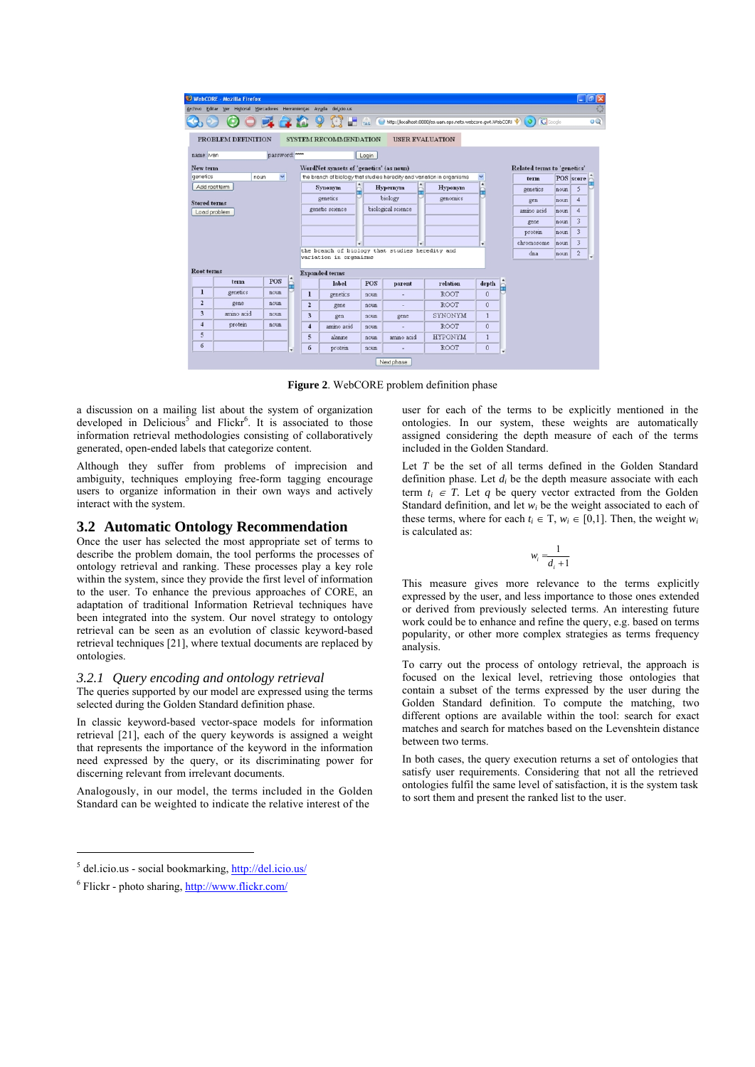|                      | WebCORE - Mozilla Firefox                               |              |   |                         |                                         |            |                                                 |                                                                        |                       |                             |         | $\mathbf{E}$<br>÷ |
|----------------------|---------------------------------------------------------|--------------|---|-------------------------|-----------------------------------------|------------|-------------------------------------------------|------------------------------------------------------------------------|-----------------------|-----------------------------|---------|-------------------|
| Archivo Editar       | Ver Historial Marcadores Herramientas Ayuda del icio.us |              |   |                         |                                         |            |                                                 |                                                                        |                       |                             |         |                   |
|                      |                                                         |              |   |                         |                                         | <b>TAG</b> |                                                 | http://localhost:8888/es.uam.eps.nets.webcore.gwt.WebCORI              |                       |                             | GGoogle |                   |
|                      | PROBLEM DEFINITION                                      |              |   |                         | <b>SYSTEM RECOMMENDATION</b>            |            | <b>USER EVALUATION</b>                          |                                                                        |                       |                             |         |                   |
| name: ivan           |                                                         | password:    |   |                         |                                         | Login      |                                                 |                                                                        |                       |                             |         |                   |
| New term             |                                                         |              |   |                         | WordNet synsets of 'genetics' (as noun) |            |                                                 |                                                                        |                       | Related terms to 'genetics' |         |                   |
| genetics             | noun                                                    | $\checkmark$ |   |                         |                                         |            |                                                 | the branch of biology that studies heredity and variation in organisms | v                     | term                        |         | POS score         |
|                      | Add root term                                           |              |   |                         | <b>Synonym</b>                          |            | $\blacktriangle$<br>Hypernym<br>A               | Hyponym                                                                | $\blacktriangle$<br>۰ | genetics                    | noun    | 5                 |
| <b>Stored terms</b>  |                                                         |              |   |                         | genetics                                |            | biology                                         | genomics                                                               |                       | gen                         | noun    | 4                 |
|                      | Load problem                                            |              |   |                         | genetic science                         |            | biological science                              |                                                                        |                       | amino acid                  | noun    | $\overline{4}$    |
|                      |                                                         |              |   |                         |                                         |            |                                                 |                                                                        |                       | gene                        | noun    | 3                 |
| 3<br>protein<br>noun |                                                         |              |   |                         |                                         |            |                                                 |                                                                        |                       |                             |         |                   |
|                      |                                                         |              |   |                         |                                         |            |                                                 |                                                                        |                       |                             |         | 3                 |
|                      |                                                         |              |   |                         | ٠                                       |            | ٠                                               |                                                                        | ٠                     | chromosome                  | noun    |                   |
|                      |                                                         |              |   |                         | variation in organisms                  |            | the branch of biology that studies heredity and |                                                                        |                       | dna                         | noun    | $\overline{c}$    |
| Root terms           |                                                         |              |   |                         |                                         |            |                                                 |                                                                        |                       |                             |         |                   |
|                      | term                                                    | <b>POS</b>   |   |                         | <b>Expanded terms</b><br>label          | <b>POS</b> | parent                                          | relation                                                               | depth                 |                             |         |                   |
| $\mathbf{I}$         | genetics                                                | noun         | ê | $\mathbf{1}$            | genetics                                | noun       |                                                 | <b>ROOT</b>                                                            | $\ddot{\mathbf{0}}$   |                             |         |                   |
| $\overline{2}$       | gene                                                    | noun         |   | $\overline{2}$          | gene                                    | noun       | ٠                                               | <b>ROOT</b>                                                            | $\ddot{0}$            |                             |         |                   |
| 3                    | amino acid                                              | noun         |   | $\overline{\mathbf{3}}$ | gen                                     | noun       | gene                                            | SYNONYM                                                                | $\mathbf{1}$          |                             |         |                   |
| $\overline{4}$       | protein                                                 | noun         |   | $\overline{4}$          | amino acid                              | noun       |                                                 | <b>ROOT</b>                                                            | $\ddot{0}$            |                             |         |                   |
| 5                    |                                                         |              |   | 5                       | alanine                                 | noun       | amino acid                                      | <b>HYPONYM</b>                                                         | $\mathbf{1}$          |                             |         |                   |

**Figure 2**. WebCORE problem definition phase

a discussion on a mailing list about the system of organization developed in Delicious<sup>5</sup> and Flickr<sup>6</sup>. It is associated to those information retrieval methodologies consisting of collaboratively generated, open-ended labels that categorize content.

Although they suffer from problems of imprecision and ambiguity, techniques employing free-form tagging encourage users to organize information in their own ways and actively interact with the system.

# **3.2 Automatic Ontology Recommendation**

Once the user has selected the most appropriate set of terms to describe the problem domain, the tool performs the processes of ontology retrieval and ranking. These processes play a key role within the system, since they provide the first level of information to the user. To enhance the previous approaches of CORE, an adaptation of traditional Information Retrieval techniques have been integrated into the system. Our novel strategy to ontology retrieval can be seen as an evolution of classic keyword-based retrieval techniques [21], where textual documents are replaced by ontologies.

#### *3.2.1 Query encoding and ontology retrieval*

The queries supported by our model are expressed using the terms selected during the Golden Standard definition phase.

In classic keyword-based vector-space models for information retrieval [21], each of the query keywords is assigned a weight that represents the importance of the keyword in the information need expressed by the query, or its discriminating power for discerning relevant from irrelevant documents.

Analogously, in our model, the terms included in the Golden Standard can be weighted to indicate the relative interest of the

 $\overline{a}$ 

user for each of the terms to be explicitly mentioned in the ontologies. In our system, these weights are automatically assigned considering the depth measure of each of the terms included in the Golden Standard.

Let *T* be the set of all terms defined in the Golden Standard definition phase. Let  $d_i$  be the depth measure associate with each term  $t_i \in T$ . Let q be query vector extracted from the Golden Standard definition, and let  $w_i$  be the weight associated to each of these terms, where for each  $t_i \in T$ ,  $w_i \in [0,1]$ . Then, the weight  $w_i$ is calculated as:

$$
w_i = \frac{1}{d_i + 1}
$$

This measure gives more relevance to the terms explicitly expressed by the user, and less importance to those ones extended or derived from previously selected terms. An interesting future work could be to enhance and refine the query, e.g. based on terms popularity, or other more complex strategies as terms frequency analysis.

To carry out the process of ontology retrieval, the approach is focused on the lexical level, retrieving those ontologies that contain a subset of the terms expressed by the user during the Golden Standard definition. To compute the matching, two different options are available within the tool: search for exact matches and search for matches based on the Levenshtein distance between two terms.

In both cases, the query execution returns a set of ontologies that satisfy user requirements. Considering that not all the retrieved ontologies fulfil the same level of satisfaction, it is the system task to sort them and present the ranked list to the user.

<sup>&</sup>lt;sup>5</sup> del.icio.us - social bookmarking, http://del.icio.us/

<sup>&</sup>lt;sup>6</sup> Flickr - photo sharing, http://www.flickr.com/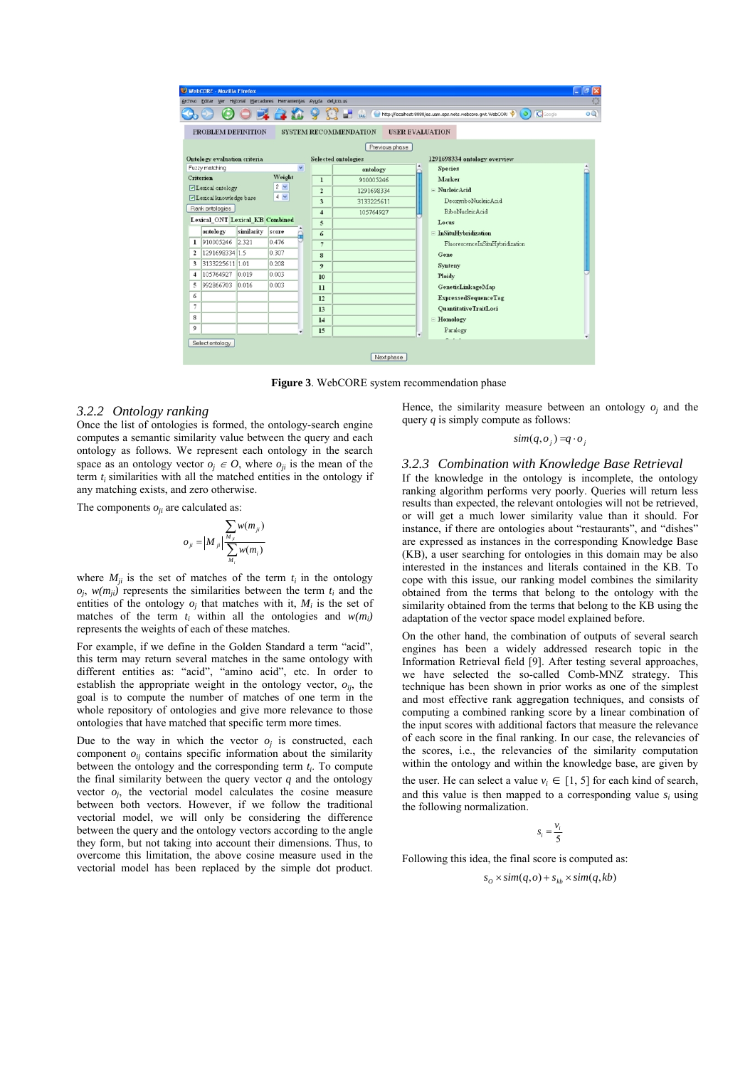

**Figure 3**. WebCORE system recommendation phase

#### *3.2.2 Ontology ranking*

Once the list of ontologies is formed, the ontology-search engine computes a semantic similarity value between the query and each ontology as follows. We represent each ontology in the search space as an ontology vector  $o_i \in O$ , where  $o_{ii}$  is the mean of the term *ti* similarities with all the matched entities in the ontology if any matching exists, and zero otherwise.

The components  $o_{ii}$  are calculated as:

$$
o_{ji} = \left|M_{ji}\right| \frac{\sum_{j} w(m_{ji})}{\sum_{M_i} w(m_i)}
$$

where  $M_{ii}$  is the set of matches of the term  $t_i$  in the ontology  $o_i$ ,  $w(m_{ii})$  represents the similarities between the term  $t_i$  and the entities of the ontology  $o_i$  that matches with it,  $M_i$  is the set of matches of the term  $t_i$  within all the ontologies and  $w(m_i)$ represents the weights of each of these matches.

For example, if we define in the Golden Standard a term "acid", this term may return several matches in the same ontology with different entities as: "acid", "amino acid", etc. In order to establish the appropriate weight in the ontology vector,  $o_{ij}$ , the goal is to compute the number of matches of one term in the whole repository of ontologies and give more relevance to those ontologies that have matched that specific term more times.

Due to the way in which the vector  $o_i$  is constructed, each component  $o_{ij}$  contains specific information about the similarity between the ontology and the corresponding term *ti*. To compute the final similarity between the query vector  $q$  and the ontology vector  $o_j$ , the vectorial model calculates the cosine measure between both vectors. However, if we follow the traditional vectorial model, we will only be considering the difference between the query and the ontology vectors according to the angle they form, but not taking into account their dimensions. Thus, to overcome this limitation, the above cosine measure used in the vectorial model has been replaced by the simple dot product.

Hence, the similarity measure between an ontology *oj* and the query *q* is simply compute as follows:

 $\sin(q, o_i) = q \cdot o_i$ 

#### *3.2.3 Combination with Knowledge Base Retrieval*

If the knowledge in the ontology is incomplete, the ontology ranking algorithm performs very poorly. Queries will return less results than expected, the relevant ontologies will not be retrieved, or will get a much lower similarity value than it should. For instance, if there are ontologies about "restaurants", and "dishes" are expressed as instances in the corresponding Knowledge Base (KB), a user searching for ontologies in this domain may be also interested in the instances and literals contained in the KB. To cope with this issue, our ranking model combines the similarity obtained from the terms that belong to the ontology with the similarity obtained from the terms that belong to the KB using the adaptation of the vector space model explained before.

On the other hand, the combination of outputs of several search engines has been a widely addressed research topic in the Information Retrieval field [9]. After testing several approaches, we have selected the so-called Comb-MNZ strategy. This technique has been shown in prior works as one of the simplest and most effective rank aggregation techniques, and consists of computing a combined ranking score by a linear combination of the input scores with additional factors that measure the relevance of each score in the final ranking. In our case, the relevancies of the scores, i.e., the relevancies of the similarity computation within the ontology and within the knowledge base, are given by the user. He can select a value  $v_i \in [1, 5]$  for each kind of search, and this value is then mapped to a corresponding value  $s_i$  using the following normalization.

$$
s_i = \frac{v_i}{5}
$$

Following this idea, the final score is computed as:

 $s_o \times sim(q, o) + s_{kb} \times sim(q, kb)$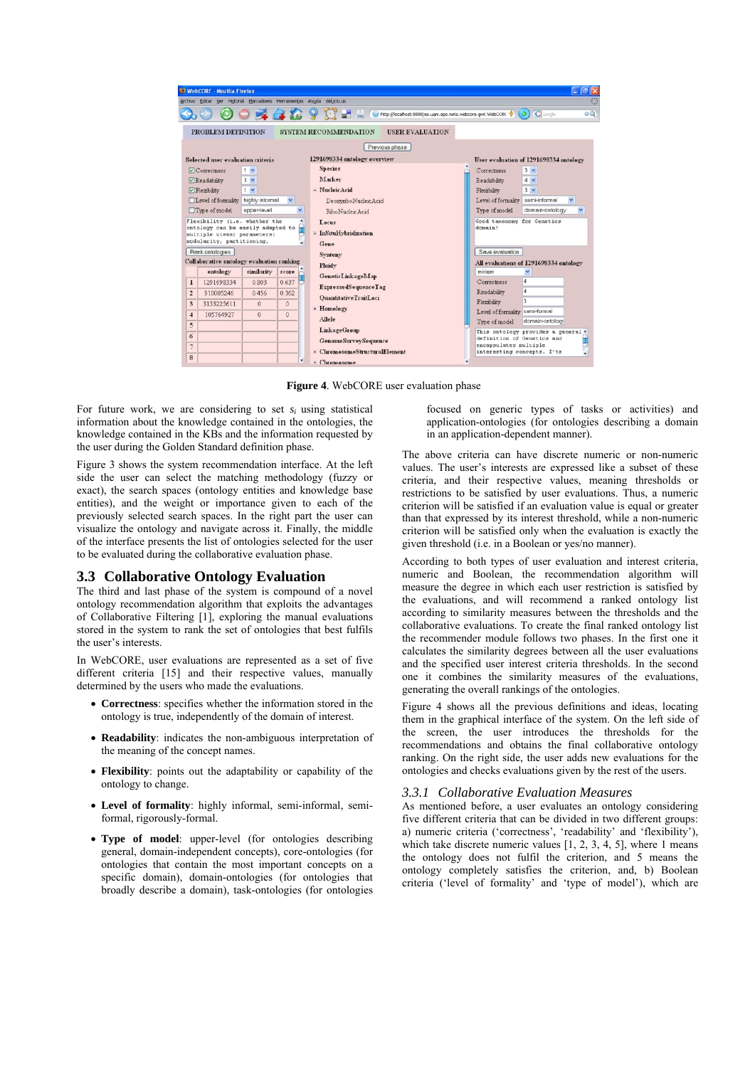

**Figure 4**. WebCORE user evaluation phase

For future work, we are considering to set  $s_i$  using statistical information about the knowledge contained in the ontologies, the knowledge contained in the KBs and the information requested by the user during the Golden Standard definition phase.

Figure 3 shows the system recommendation interface. At the left side the user can select the matching methodology (fuzzy or exact), the search spaces (ontology entities and knowledge base entities), and the weight or importance given to each of the previously selected search spaces. In the right part the user can visualize the ontology and navigate across it. Finally, the middle of the interface presents the list of ontologies selected for the user to be evaluated during the collaborative evaluation phase.

## **3.3 Collaborative Ontology Evaluation**

The third and last phase of the system is compound of a novel ontology recommendation algorithm that exploits the advantages of Collaborative Filtering [1], exploring the manual evaluations stored in the system to rank the set of ontologies that best fulfils the user's interests.

In WebCORE, user evaluations are represented as a set of five different criteria [15] and their respective values, manually determined by the users who made the evaluations.

- **Correctness**: specifies whether the information stored in the ontology is true, independently of the domain of interest.
- **Readability**: indicates the non-ambiguous interpretation of the meaning of the concept names.
- **Flexibility**: points out the adaptability or capability of the ontology to change.
- **Level of formality**: highly informal, semi-informal, semiformal, rigorously-formal.
- **Type of model**: upper-level (for ontologies describing general, domain-independent concepts), core-ontologies (for ontologies that contain the most important concepts on a specific domain), domain-ontologies (for ontologies that broadly describe a domain), task-ontologies (for ontologies

focused on generic types of tasks or activities) and application-ontologies (for ontologies describing a domain in an application-dependent manner).

The above criteria can have discrete numeric or non-numeric values. The user's interests are expressed like a subset of these criteria, and their respective values, meaning thresholds or restrictions to be satisfied by user evaluations. Thus, a numeric criterion will be satisfied if an evaluation value is equal or greater than that expressed by its interest threshold, while a non-numeric criterion will be satisfied only when the evaluation is exactly the given threshold (i.e. in a Boolean or yes/no manner).

According to both types of user evaluation and interest criteria, numeric and Boolean, the recommendation algorithm will measure the degree in which each user restriction is satisfied by the evaluations, and will recommend a ranked ontology list according to similarity measures between the thresholds and the collaborative evaluations. To create the final ranked ontology list the recommender module follows two phases. In the first one it calculates the similarity degrees between all the user evaluations and the specified user interest criteria thresholds. In the second one it combines the similarity measures of the evaluations, generating the overall rankings of the ontologies.

Figure 4 shows all the previous definitions and ideas, locating them in the graphical interface of the system. On the left side of the screen, the user introduces the thresholds for the recommendations and obtains the final collaborative ontology ranking. On the right side, the user adds new evaluations for the ontologies and checks evaluations given by the rest of the users.

## *3.3.1 Collaborative Evaluation Measures*

As mentioned before, a user evaluates an ontology considering five different criteria that can be divided in two different groups: a) numeric criteria ('correctness', 'readability' and 'flexibility'), which take discrete numeric values [1, 2, 3, 4, 5], where 1 means the ontology does not fulfil the criterion, and 5 means the ontology completely satisfies the criterion, and, b) Boolean criteria ('level of formality' and 'type of model'), which are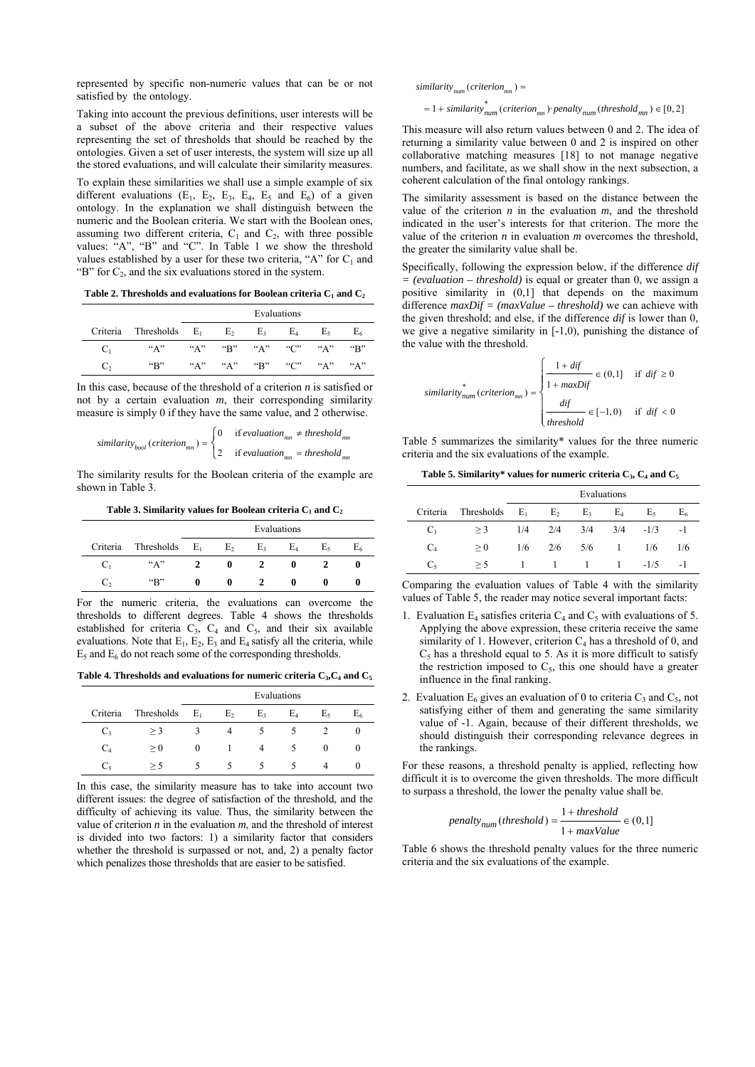represented by specific non-numeric values that can be or not satisfied by the ontology.

Taking into account the previous definitions, user interests will be a subset of the above criteria and their respective values representing the set of thresholds that should be reached by the ontologies. Given a set of user interests, the system will size up all the stored evaluations, and will calculate their similarity measures.

To explain these similarities we shall use a simple example of six different evaluations  $(E_1, E_2, E_3, E_4, E_5, E_6)$  of a given ontology. In the explanation we shall distinguish between the numeric and the Boolean criteria. We start with the Boolean ones, assuming two different criteria,  $C_1$  and  $C_2$ , with three possible values: "A", "B" and "C". In Table 1 we show the threshold values established by a user for these two criteria, "A" for  $C_1$  and "B" for  $C_2$ , and the six evaluations stored in the system.

Table 2. Thresholds and evaluations for Boolean criteria  $C_1$  and  $C_2$ 

|          |                          | Evaluations |                 |       |       |                          |                             |
|----------|--------------------------|-------------|-----------------|-------|-------|--------------------------|-----------------------------|
| Criteria | Thresholds $E_1$         |             | E <sub>2</sub>  | $E_3$ | $E_4$ | E٠                       |                             |
| $C_1$    | ``A"                     |             | "A" "B" "A" "C" |       |       | ``A"                     | $\mathrm{H}^{\prime\prime}$ |
| €.       | $\mathbf{G}(\mathbf{R})$ |             | "A" "A" "B"     |       | ``C"  | ${}^{\alpha}$ $\Delta$ " | ``A"                        |

In this case, because of the threshold of a criterion *n* is satisfied or not by a certain evaluation *m*, their corresponding similarity measure is simply 0 if they have the same value, and 2 otherwise.

$$
similarity_{bool}(criterion_{mn}) = \begin{cases} 0 & \text{if evaluation}_{mn} \neq threshold_{mn} \\ 2 & \text{if evaluation}_{mn} = threshold_{mn} \end{cases}
$$

The similarity results for the Boolean criteria of the example are shown in Table 3.

Table 3. Similarity values for Boolean criteria C<sub>1</sub> and C<sub>2</sub>

|          |                          | Evaluations |                |    |                |    |    |
|----------|--------------------------|-------------|----------------|----|----------------|----|----|
| Criteria | Thresholds $E_1$         |             | E <sub>2</sub> | E٠ | E <sub>4</sub> | E٠ | E٢ |
| $C_1$    | $A$ "                    |             |                |    |                |    |    |
| C,       | $\mathbf{G}(\mathbf{R})$ |             |                |    |                |    |    |

For the numeric criteria, the evaluations can overcome the thresholds to different degrees. Table 4 shows the thresholds established for criteria  $C_3$ ,  $C_4$  and  $C_5$ , and their six available evaluations. Note that  $E_1$ ,  $E_2$ ,  $E_3$  and  $E_4$  satisfy all the criteria, while  $E_5$  and  $E_6$  do not reach some of the corresponding thresholds.

Table 4. Thresholds and evaluations for numeric criteria  $C_3$ ,  $C_4$  and  $C_5$ 

|                |            | Evaluations |    |                |       |                |        |
|----------------|------------|-------------|----|----------------|-------|----------------|--------|
| Criteria       | Thresholds | $E_1$       | E, | E <sub>3</sub> | $E_4$ | E <sub>5</sub> | $E_6$  |
| $C_3$          | $>$ 3      |             |    | $\mathcal{D}$  |       |                |        |
| C <sub>4</sub> | $\geq 0$   | $\theta$    | L  | 4              | 5.    | 0              | $_{0}$ |
| $C_{\rm s}$    | $>$ ^      |             |    | ╮              |       | 4              |        |

In this case, the similarity measure has to take into account two different issues: the degree of satisfaction of the threshold, and the difficulty of achieving its value. Thus, the similarity between the value of criterion  $n$  in the evaluation  $m$ , and the threshold of interest is divided into two factors: 1) a similarity factor that considers whether the threshold is surpassed or not, and, 2) a penalty factor which penalizes those thresholds that are easier to be satisfied.

 $similarity_{num}(criterion_{mn}) =$ 

 $= 1 + similarity_{num}^{*} (criterion_{mn})$  penalty<sub>num</sub> (threshold<sub>mn</sub>)  $\in [0,2]$ 

This measure will also return values between 0 and 2. The idea of returning a similarity value between 0 and 2 is inspired on other collaborative matching measures [18] to not manage negative numbers, and facilitate, as we shall show in the next subsection, a coherent calculation of the final ontology rankings.

The similarity assessment is based on the distance between the value of the criterion  $n$  in the evaluation  $m$ , and the threshold indicated in the user's interests for that criterion. The more the value of the criterion *n* in evaluation *m* overcomes the threshold, the greater the similarity value shall be.

Specifically, following the expression below, if the difference *dif = (evaluation – threshold)* is equal or greater than 0, we assign a positive similarity in (0,1] that depends on the maximum difference *maxDif = (maxValue – threshold)* we can achieve with the given threshold; and else, if the difference *dif* is lower than 0, we give a negative similarity in [-1,0), punishing the distance of the value with the threshold.

$$
similarity_{num}^* (criterion_{mm}) = \begin{cases} \frac{1 + \text{dif}}{1 + \text{maxDif}} \in (0,1] & \text{if } \text{dif} \ge 0\\ \frac{\text{dif}}{\text{threshold}} \in [-1,0) & \text{if } \text{dif} < 0 \end{cases}
$$

Table 5 summarizes the similarity\* values for the three numeric criteria and the six evaluations of the example.

**Table 5. Similarity\* values for numeric criteria C3, C4 and C5**

|          |                  | Evaluations |                |       |          |        |       |
|----------|------------------|-------------|----------------|-------|----------|--------|-------|
| Criteria | Thresholds $E_1$ |             | E <sub>2</sub> | $E_3$ | $E_4$    | E٠     | $E_6$ |
| $C_3$    | $>$ 3            |             | $1/4$ $2/4$    | 3/4   | 3/4      | $-1/3$ | $-1$  |
| $C_4$    | > 0              | 1/6         | 2/6            | 5/6   | $\sim$ 1 | 1/6    | 1/6   |
| $C_{5}$  | > 5              |             | $\sim$ 1 1     |       | $\sim$ 1 | $-1/5$ | -1    |

Comparing the evaluation values of Table 4 with the similarity values of Table 5, the reader may notice several important facts:

- 1. Evaluation  $E_4$  satisfies criteria  $C_4$  and  $C_5$  with evaluations of 5. Applying the above expression, these criteria receive the same similarity of 1. However, criterion  $C_4$  has a threshold of 0, and  $C<sub>5</sub>$  has a threshold equal to 5. As it is more difficult to satisfy the restriction imposed to  $C_5$ , this one should have a greater influence in the final ranking.
- 2. Evaluation  $E_6$  gives an evaluation of 0 to criteria  $C_3$  and  $C_5$ , not satisfying either of them and generating the same similarity value of -1. Again, because of their different thresholds, we should distinguish their corresponding relevance degrees in the rankings.

For these reasons, a threshold penalty is applied, reflecting how difficult it is to overcome the given thresholds. The more difficult to surpass a threshold, the lower the penalty value shall be.

$$
penalty_{num}(threshold) = \frac{1 + threshold}{1 + maxValue} \in (0, 1]
$$

Table 6 shows the threshold penalty values for the three numeric criteria and the six evaluations of the example.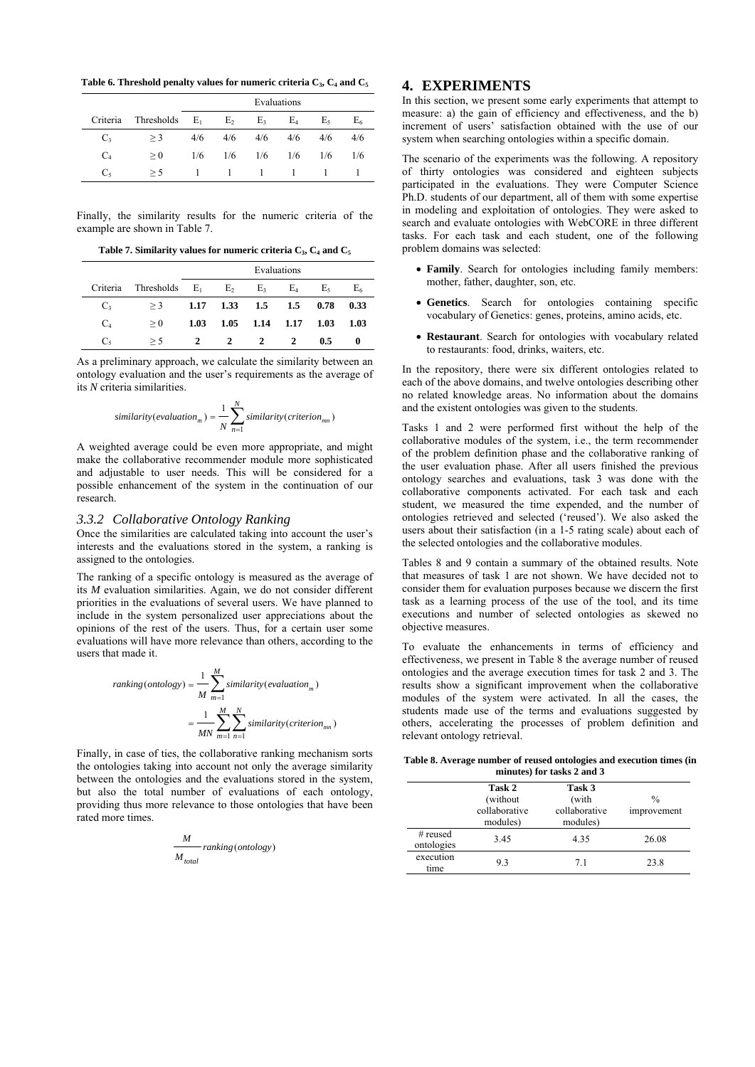**Table 6. Threshold penalty values for numeric criteria C3, C4 and C5**

|          |            | Evaluations |     |     |     |     |       |
|----------|------------|-------------|-----|-----|-----|-----|-------|
| Criteria | Thresholds | $E_1$       | E   | E3  | E4  | E٢  | $E_6$ |
| $C_3$    | $>$ 3      | 4/6         | 4/6 | 4/6 | 4/6 | 4/6 | 4/6   |
| $C_4$    | $\geq 0$   | 1/6         | 1/6 | 1/6 | 1/6 | 1/6 | 1/6   |
| $C_5$    | > 5        |             |     |     |     |     |       |

Finally, the similarity results for the numeric criteria of the example are shown in Table 7.

Table 7. Similarity values for numeric criteria  $C_3$ ,  $C_4$  and  $C_5$ 

|         |                                 | Evaluations |              |                           |           |      |       |
|---------|---------------------------------|-------------|--------------|---------------------------|-----------|------|-------|
|         | Criteria Thresholds $E_1$ $E_2$ |             |              | $E_3$                     | $E_4$     | E٠   | $E_6$ |
| $C_{3}$ | $>$ 3                           |             |              | $1.17$ $1.33$ $1.5$ $1.5$ |           | 0.78 | 0.33  |
| $C_4$   | > 0                             | 1.03        | 1.05         |                           | 1.14 1.17 | 1.03 | 1.03  |
| $C_5$   | > 5                             | 2           | $\mathbf{2}$ | 2                         | 2         | 0.5  |       |

As a preliminary approach, we calculate the similarity between an ontology evaluation and the user's requirements as the average of its *N* criteria similarities.

$$
similarity(evaluation_m) = \frac{1}{N} \sum_{n=1}^{N} similarity(criterion_{mn})
$$

A weighted average could be even more appropriate, and might make the collaborative recommender module more sophisticated and adjustable to user needs. This will be considered for a possible enhancement of the system in the continuation of our research.

# *3.3.2 Collaborative Ontology Ranking*

Once the similarities are calculated taking into account the user's interests and the evaluations stored in the system, a ranking is assigned to the ontologies.

The ranking of a specific ontology is measured as the average of its *M* evaluation similarities. Again, we do not consider different priorities in the evaluations of several users. We have planned to include in the system personalized user appreciations about the opinions of the rest of the users. Thus, for a certain user some evaluations will have more relevance than others, according to the users that made it.

$$
ranking (ontology) = \frac{1}{M} \sum_{m=1}^{M} similarity(evaluation_m)
$$

$$
= \frac{1}{MN} \sum_{m=1}^{M} \sum_{n=1}^{N} similarity(criterion_{mn})
$$

Finally, in case of ties, the collaborative ranking mechanism sorts the ontologies taking into account not only the average similarity between the ontologies and the evaluations stored in the system, but also the total number of evaluations of each ontology, providing thus more relevance to those ontologies that have been rated more times.

$$
\frac{M}{M_{total}} ranking(ontology)
$$

## **4. EXPERIMENTS**

In this section, we present some early experiments that attempt to measure: a) the gain of efficiency and effectiveness, and the b) increment of users' satisfaction obtained with the use of our system when searching ontologies within a specific domain.

The scenario of the experiments was the following. A repository of thirty ontologies was considered and eighteen subjects participated in the evaluations. They were Computer Science Ph.D. students of our department, all of them with some expertise in modeling and exploitation of ontologies. They were asked to search and evaluate ontologies with WebCORE in three different tasks. For each task and each student, one of the following problem domains was selected:

- **Family**. Search for ontologies including family members: mother, father, daughter, son, etc.
- **Genetics**. Search for ontologies containing specific vocabulary of Genetics: genes, proteins, amino acids, etc.
- **Restaurant**. Search for ontologies with vocabulary related to restaurants: food, drinks, waiters, etc.

In the repository, there were six different ontologies related to each of the above domains, and twelve ontologies describing other no related knowledge areas. No information about the domains and the existent ontologies was given to the students.

Tasks 1 and 2 were performed first without the help of the collaborative modules of the system, i.e., the term recommender of the problem definition phase and the collaborative ranking of the user evaluation phase. After all users finished the previous ontology searches and evaluations, task 3 was done with the collaborative components activated. For each task and each student, we measured the time expended, and the number of ontologies retrieved and selected ('reused'). We also asked the users about their satisfaction (in a 1-5 rating scale) about each of the selected ontologies and the collaborative modules.

Tables 8 and 9 contain a summary of the obtained results. Note that measures of task 1 are not shown. We have decided not to consider them for evaluation purposes because we discern the first task as a learning process of the use of the tool, and its time executions and number of selected ontologies as skewed no objective measures.

To evaluate the enhancements in terms of efficiency and effectiveness, we present in Table 8 the average number of reused ontologies and the average execution times for task 2 and 3. The results show a significant improvement when the collaborative modules of the system were activated. In all the cases, the students made use of the terms and evaluations suggested by others, accelerating the processes of problem definition and relevant ontology retrieval.

**Table 8. Average number of reused ontologies and execution times (in minutes) for tasks 2 and 3** 

|                          | Task 2<br>(without)<br>collaborative<br>modules) | Task 3<br>(with<br>collaborative<br>modules) | $\frac{0}{0}$<br>improvement |
|--------------------------|--------------------------------------------------|----------------------------------------------|------------------------------|
| $#$ reused<br>ontologies | 3.45                                             | 4.35                                         | 26.08                        |
| execution<br>time        | 93                                               | 7.1                                          | 23.8                         |